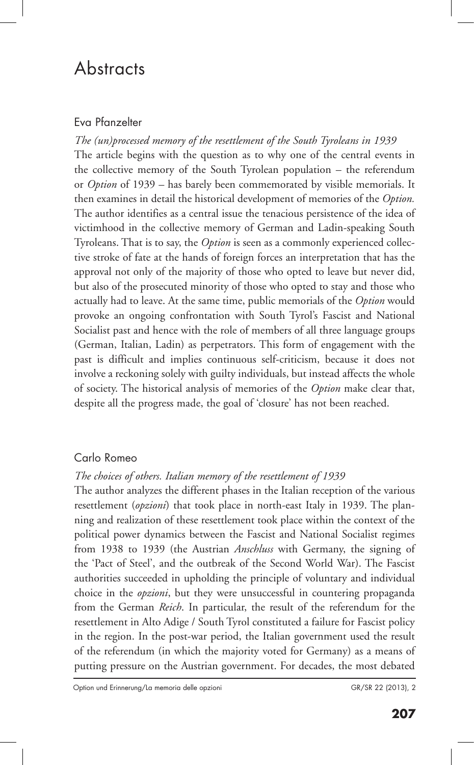# **Abstracts**

# Eva Pfanzelter

*The (un)processed memory of the resettlement of the South Tyroleans in 1939* The article begins with the question as to why one of the central events in the collective memory of the South Tyrolean population – the referendum or *Option* of 1939 – has barely been commemorated by visible memorials. It then examines in detail the historical development of memories of the *Option.* The author identifies as a central issue the tenacious persistence of the idea of victimhood in the collective memory of German and Ladin-speaking South Tyroleans. That is to say, the *Option* is seen as a commonly experienced collective stroke of fate at the hands of foreign forces an interpretation that has the approval not only of the majority of those who opted to leave but never did, but also of the prosecuted minority of those who opted to stay and those who actually had to leave. At the same time, public memorials of the *Option* would provoke an ongoing confrontation with South Tyrol's Fascist and National Socialist past and hence with the role of members of all three language groups (German, Italian, Ladin) as perpetrators. This form of engagement with the past is difficult and implies continuous self-criticism, because it does not involve a reckoning solely with guilty individuals, but instead affects the whole of society. The historical analysis of memories of the *Option* make clear that, despite all the progress made, the goal of 'closure' has not been reached.

# Carlo Romeo

# *The choices of others. Italian memory of the resettlement of 1939*

The author analyzes the different phases in the Italian reception of the various resettlement (*opzioni*) that took place in north-east Italy in 1939. The planning and realization of these resettlement took place within the context of the political power dynamics between the Fascist and National Socialist regimes from 1938 to 1939 (the Austrian *Anschluss* with Germany, the signing of the 'Pact of Steel', and the outbreak of the Second World War). The Fascist authorities succeeded in upholding the principle of voluntary and individual choice in the *opzioni*, but they were unsuccessful in countering propaganda from the German *Reich*. In particular, the result of the referendum for the resettlement in Alto Adige / South Tyrol constituted a failure for Fascist policy in the region. In the post-war period, the Italian government used the result of the referendum (in which the majority voted for Germany) as a means of putting pressure on the Austrian government. For decades, the most debated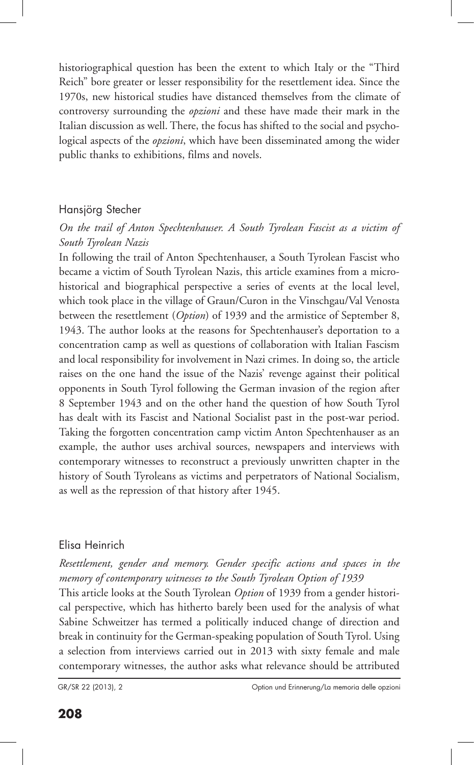historiographical question has been the extent to which Italy or the "Third Reich" bore greater or lesser responsibility for the resettlement idea. Since the 1970s, new historical studies have distanced themselves from the climate of controversy surrounding the *opzioni* and these have made their mark in the Italian discussion as well. There, the focus has shifted to the social and psychological aspects of the *opzioni*, which have been disseminated among the wider public thanks to exhibitions, films and novels.

#### Hansjörg Stecher

### *On the trail of Anton Spechtenhauser. A South Tyrolean Fascist as a victim of South Tyrolean Nazis*

In following the trail of Anton Spechtenhauser, a South Tyrolean Fascist who became a victim of South Tyrolean Nazis, this article examines from a microhistorical and biographical perspective a series of events at the local level, which took place in the village of Graun/Curon in the Vinschgau/Val Venosta between the resettlement (*Option*) of 1939 and the armistice of September 8, 1943. The author looks at the reasons for Spechtenhauser's deportation to a concentration camp as well as questions of collaboration with Italian Fascism and local responsibility for involvement in Nazi crimes. In doing so, the article raises on the one hand the issue of the Nazis' revenge against their political opponents in South Tyrol following the German invasion of the region after 8 September 1943 and on the other hand the question of how South Tyrol has dealt with its Fascist and National Socialist past in the post-war period. Taking the forgotten concentration camp victim Anton Spechtenhauser as an example, the author uses archival sources, newspapers and interviews with contemporary witnesses to reconstruct a previously unwritten chapter in the history of South Tyroleans as victims and perpetrators of National Socialism, as well as the repression of that history after 1945.

#### Elisa Heinrich

*Resettlement, gender and memory. Gender specific actions and spaces in the memory of contemporary witnesses to the South Tyrolean Option of 1939*

This article looks at the South Tyrolean *Option* of 1939 from a gender historical perspective, which has hitherto barely been used for the analysis of what Sabine Schweitzer has termed a politically induced change of direction and break in continuity for the German-speaking population of South Tyrol. Using a selection from interviews carried out in 2013 with sixty female and male contemporary witnesses, the author asks what relevance should be attributed